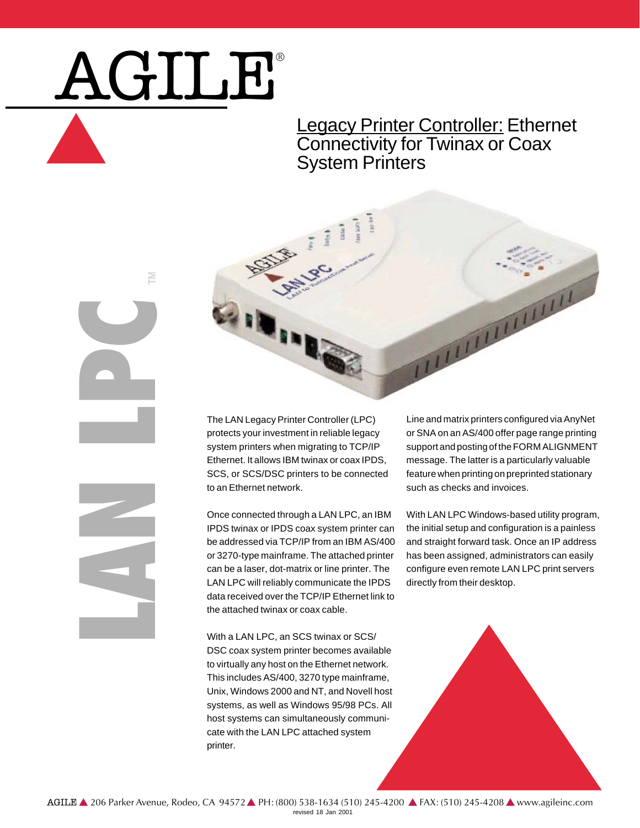# AGILE®

M

### **Legacy Printer Controller: Ethernet** Connectivity for Twinax or Coax System Printers



The LAN Legacy Printer Controller (LPC) protects your investment in reliable legacy system printers when migrating to TCP/IP Ethernet. It allows IBM twinax or coax IPDS, SCS, or SCS/DSC printers to be connected to an Ethernet network.

Once connected through a LAN LPC, an IBM IPDS twinax or IPDS coax system printer can be addressed via TCP/IP from an IBM AS/400 or 3270-type mainframe. The attached printer can be a laser, dot-matrix or line printer. The LAN LPC will reliably communicate the IPDS data received over the TCP/IP Ethernet link to the attached twinax or coax cable.

With a LAN LPC, an SCS twinax or SCS/ DSC coax system printer becomes available to virtually any host on the Ethernet network. This includes AS/400, 3270 type mainframe, Unix, Windows 2000 and NT, and Novell host systems, as well as Windows 95/98 PCs. All host systems can simultaneously communicate with the LAN LPC attached system printer.

Line and matrix printers configured via AnyNet or SNA on an AS/400 offer page range printing support and posting of the FORM ALIGNMENT message. The latter is a particularly valuable feature when printing on preprinted stationary such as checks and invoices.

With LAN LPC Windows-based utility program, the initial setup and configuration is a painless and straight forward task. Once an IP address has been assigned, administrators can easily configure even remote LAN LPC print servers directly from their desktop.